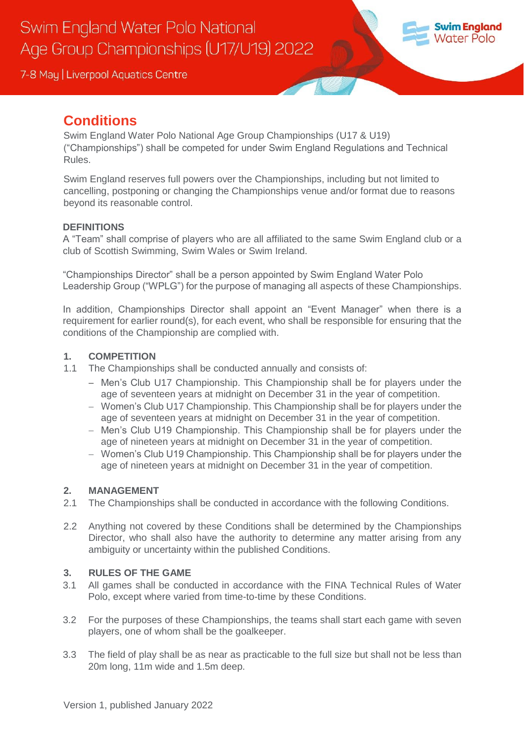

# **Conditions**

Swim England Water Polo National Age Group Championships (U17 & U19) ("Championships") shall be competed for under Swim England Regulations and Technical Rules.

Swim England reserves full powers over the Championships, including but not limited to cancelling, postponing or changing the Championships venue and/or format due to reasons beyond its reasonable control.

### **DEFINITIONS**

A "Team" shall comprise of players who are all affiliated to the same Swim England club or a club of Scottish Swimming, Swim Wales or Swim Ireland.

"Championships Director" shall be a person appointed by Swim England Water Polo Leadership Group ("WPLG") for the purpose of managing all aspects of these Championships.

In addition, Championships Director shall appoint an "Event Manager" when there is a requirement for earlier round(s), for each event, who shall be responsible for ensuring that the conditions of the Championship are complied with.

#### **1. COMPETITION**

- 1.1 The Championships shall be conducted annually and consists of:
	- Men's Club U17 Championship. This Championship shall be for players under the age of seventeen years at midnight on December 31 in the year of competition.
	- Women's Club U17 Championship. This Championship shall be for players under the age of seventeen years at midnight on December 31 in the year of competition.
	- Men's Club U19 Championship. This Championship shall be for players under the age of nineteen years at midnight on December 31 in the year of competition.
	- Women's Club U19 Championship. This Championship shall be for players under the age of nineteen years at midnight on December 31 in the year of competition.

### **2. MANAGEMENT**

- 2.1 The Championships shall be conducted in accordance with the following Conditions.
- 2.2 Anything not covered by these Conditions shall be determined by the Championships Director, who shall also have the authority to determine any matter arising from any ambiguity or uncertainty within the published Conditions.

#### **3. RULES OF THE GAME**

- 3.1 All games shall be conducted in accordance with the FINA Technical Rules of Water Polo, except where varied from time-to-time by these Conditions.
- 3.2 For the purposes of these Championships, the teams shall start each game with seven players, one of whom shall be the goalkeeper.
- 3.3 The field of play shall be as near as practicable to the full size but shall not be less than 20m long, 11m wide and 1.5m deep.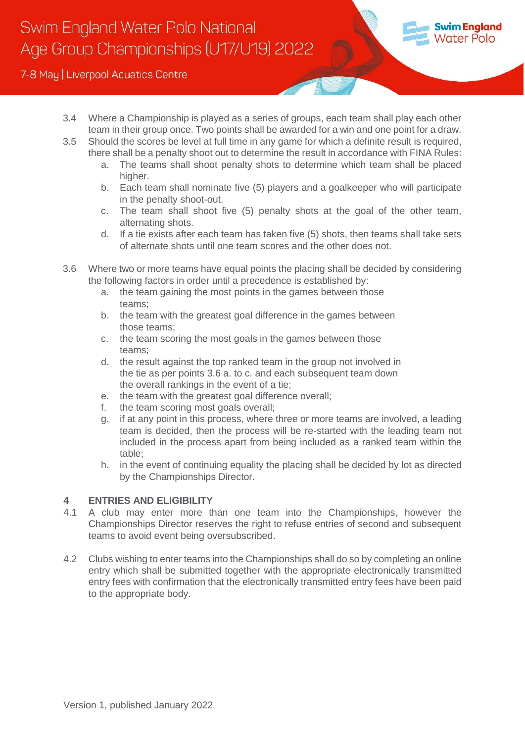

- 3.4 Where a Championship is played as a series of groups, each team shall play each other team in their group once. Two points shall be awarded for a win and one point for a draw.
- 3.5 Should the scores be level at full time in any game for which a definite result is required, there shall be a penalty shoot out to determine the result in accordance with FINA Rules:
	- a. The teams shall shoot penalty shots to determine which team shall be placed higher.
	- b. Each team shall nominate five (5) players and a goalkeeper who will participate in the penalty shoot-out.
	- c. The team shall shoot five (5) penalty shots at the goal of the other team, alternating shots.
	- d. If a tie exists after each team has taken five (5) shots, then teams shall take sets of alternate shots until one team scores and the other does not.
- 3.6 Where two or more teams have equal points the placing shall be decided by considering the following factors in order until a precedence is established by:
	- a. the team gaining the most points in the games between those teams;
	- b. the team with the greatest goal difference in the games between those teams;
	- c. the team scoring the most goals in the games between those teams;
	- d. the result against the top ranked team in the group not involved in the tie as per points 3.6 a. to c. and each subsequent team down the overall rankings in the event of a tie;
	- e. the team with the greatest goal difference overall;
	- f. the team scoring most goals overall;
	- g. if at any point in this process, where three or more teams are involved, a leading team is decided, then the process will be re-started with the leading team not included in the process apart from being included as a ranked team within the table;
	- h. in the event of continuing equality the placing shall be decided by lot as directed by the Championships Director.

### **4 ENTRIES AND ELIGIBILITY**

- 4.1 A club may enter more than one team into the Championships, however the Championships Director reserves the right to refuse entries of second and subsequent teams to avoid event being oversubscribed.
- 4.2 Clubs wishing to enter teams into the Championships shall do so by completing an online entry which shall be submitted together with the appropriate electronically transmitted entry fees with confirmation that the electronically transmitted entry fees have been paid to the appropriate body.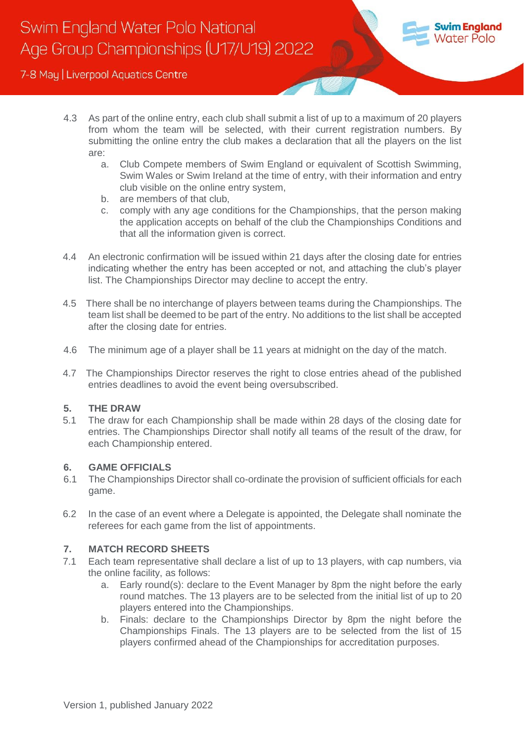

- 4.3 As part of the online entry, each club shall submit a list of up to a maximum of 20 players from whom the team will be selected, with their current registration numbers. By submitting the online entry the club makes a declaration that all the players on the list are:
	- a. Club Compete members of Swim England or equivalent of Scottish Swimming, Swim Wales or Swim Ireland at the time of entry, with their information and entry club visible on the online entry system,
	- b. are members of that club,
	- c. comply with any age conditions for the Championships, that the person making the application accepts on behalf of the club the Championships Conditions and that all the information given is correct.
- 4.4 An electronic confirmation will be issued within 21 days after the closing date for entries indicating whether the entry has been accepted or not, and attaching the club's player list. The Championships Director may decline to accept the entry.
- 4.5 There shall be no interchange of players between teams during the Championships. The team list shall be deemed to be part of the entry. No additions to the list shall be accepted after the closing date for entries.
- 4.6 The minimum age of a player shall be 11 years at midnight on the day of the match.
- 4.7 The Championships Director reserves the right to close entries ahead of the published entries deadlines to avoid the event being oversubscribed.

#### **5. THE DRAW**

5.1 The draw for each Championship shall be made within 28 days of the closing date for entries. The Championships Director shall notify all teams of the result of the draw, for each Championship entered.

#### **6. GAME OFFICIALS**

- 6.1 The Championships Director shall co-ordinate the provision of sufficient officials for each game.
- 6.2 In the case of an event where a Delegate is appointed, the Delegate shall nominate the referees for each game from the list of appointments.

### **7. MATCH RECORD SHEETS**

- 7.1 Each team representative shall declare a list of up to 13 players, with cap numbers, via the online facility, as follows:
	- a. Early round(s): declare to the Event Manager by 8pm the night before the early round matches. The 13 players are to be selected from the initial list of up to 20 players entered into the Championships.
	- b. Finals: declare to the Championships Director by 8pm the night before the Championships Finals. The 13 players are to be selected from the list of 15 players confirmed ahead of the Championships for accreditation purposes.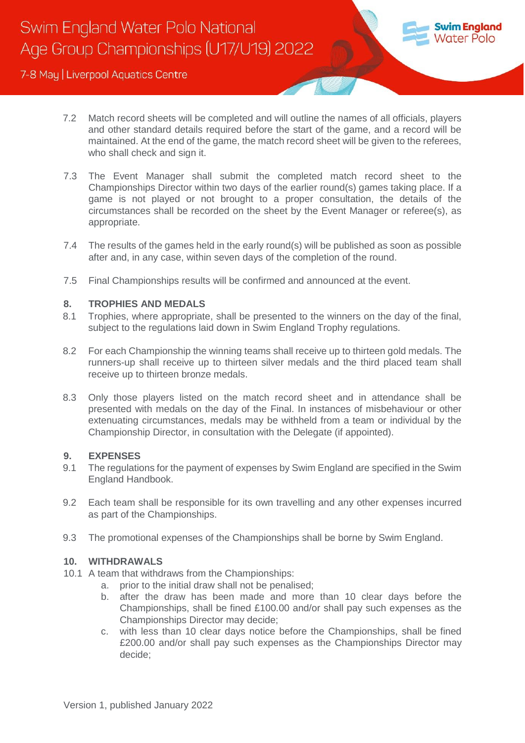

- 7.2 Match record sheets will be completed and will outline the names of all officials, players and other standard details required before the start of the game, and a record will be maintained. At the end of the game, the match record sheet will be given to the referees, who shall check and sign it.
- 7.3 The Event Manager shall submit the completed match record sheet to the Championships Director within two days of the earlier round(s) games taking place. If a game is not played or not brought to a proper consultation, the details of the circumstances shall be recorded on the sheet by the Event Manager or referee(s), as appropriate.
- 7.4 The results of the games held in the early round(s) will be published as soon as possible after and, in any case, within seven days of the completion of the round.
- 7.5 Final Championships results will be confirmed and announced at the event.

#### **8. TROPHIES AND MEDALS**

- 8.1 Trophies, where appropriate, shall be presented to the winners on the day of the final, subject to the regulations laid down in Swim England Trophy regulations.
- 8.2 For each Championship the winning teams shall receive up to thirteen gold medals. The runners-up shall receive up to thirteen silver medals and the third placed team shall receive up to thirteen bronze medals.
- 8.3 Only those players listed on the match record sheet and in attendance shall be presented with medals on the day of the Final. In instances of misbehaviour or other extenuating circumstances, medals may be withheld from a team or individual by the Championship Director, in consultation with the Delegate (if appointed).

#### **9. EXPENSES**

- 9.1 The regulations for the payment of expenses by Swim England are specified in the Swim England Handbook.
- 9.2 Each team shall be responsible for its own travelling and any other expenses incurred as part of the Championships.
- 9.3 The promotional expenses of the Championships shall be borne by Swim England.

#### **10. WITHDRAWALS**

- 10.1 A team that withdraws from the Championships:
	- a. prior to the initial draw shall not be penalised;
	- b. after the draw has been made and more than 10 clear days before the Championships, shall be fined £100.00 and/or shall pay such expenses as the Championships Director may decide;
	- c. with less than 10 clear days notice before the Championships, shall be fined £200.00 and/or shall pay such expenses as the Championships Director may decide;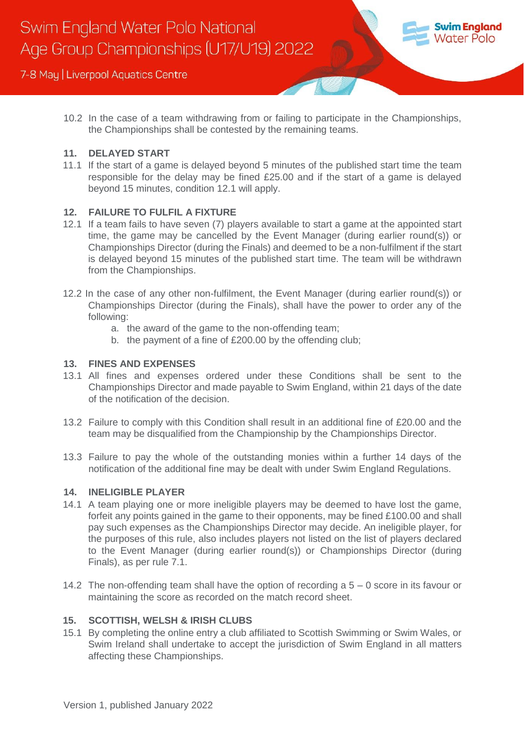

10.2 In the case of a team withdrawing from or failing to participate in the Championships, the Championships shall be contested by the remaining teams.

#### **11. DELAYED START**

11.1 If the start of a game is delayed beyond 5 minutes of the published start time the team responsible for the delay may be fined £25.00 and if the start of a game is delayed beyond 15 minutes, condition 12.1 will apply.

#### **12. FAILURE TO FULFIL A FIXTURE**

- 12.1 If a team fails to have seven (7) players available to start a game at the appointed start time, the game may be cancelled by the Event Manager (during earlier round(s)) or Championships Director (during the Finals) and deemed to be a non-fulfilment if the start is delayed beyond 15 minutes of the published start time. The team will be withdrawn from the Championships.
- 12.2 In the case of any other non-fulfilment, the Event Manager (during earlier round(s)) or Championships Director (during the Finals), shall have the power to order any of the following:
	- a. the award of the game to the non-offending team;
	- b. the payment of a fine of £200.00 by the offending club;

#### **13. FINES AND EXPENSES**

- 13.1 All fines and expenses ordered under these Conditions shall be sent to the Championships Director and made payable to Swim England, within 21 days of the date of the notification of the decision.
- 13.2 Failure to comply with this Condition shall result in an additional fine of £20.00 and the team may be disqualified from the Championship by the Championships Director.
- 13.3 Failure to pay the whole of the outstanding monies within a further 14 days of the notification of the additional fine may be dealt with under Swim England Regulations.

#### **14. INELIGIBLE PLAYER**

- 14.1 A team playing one or more ineligible players may be deemed to have lost the game, forfeit any points gained in the game to their opponents, may be fined £100.00 and shall pay such expenses as the Championships Director may decide. An ineligible player, for the purposes of this rule, also includes players not listed on the list of players declared to the Event Manager (during earlier round(s)) or Championships Director (during Finals), as per rule 7.1.
- 14.2 The non-offending team shall have the option of recording a  $5 0$  score in its favour or maintaining the score as recorded on the match record sheet.

#### **15. SCOTTISH, WELSH & IRISH CLUBS**

15.1 By completing the online entry a club affiliated to Scottish Swimming or Swim Wales, or Swim Ireland shall undertake to accept the jurisdiction of Swim England in all matters affecting these Championships.